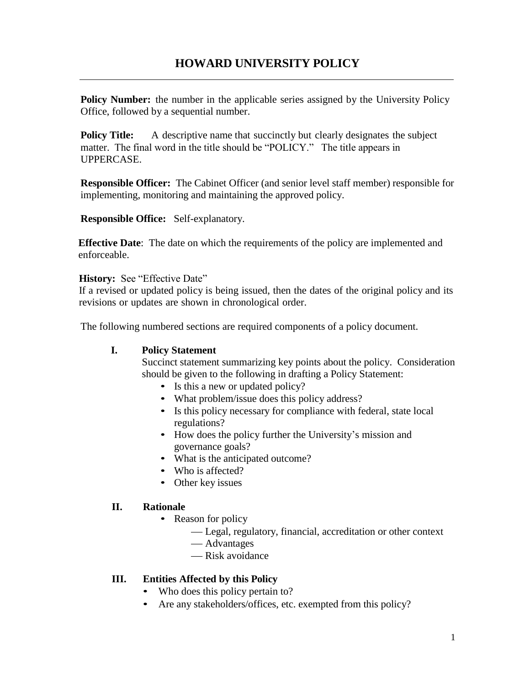**Policy Number:** the number in the applicable series assigned by the University Policy Office, followed by a sequential number.

**Policy Title:** A descriptive name that succinctly but clearly designates the subject matter. The final word in the title should be "POLICY." The title appears in UPPERCASE.

**Responsible Officer:** The Cabinet Officer (and senior level staff member) responsible for implementing, monitoring and maintaining the approved policy.

**Responsible Office:** Self-explanatory.

**Effective Date:** The date on which the requirements of the policy are implemented and enforceable.

## **History:** See "Effective Date"

If a revised or updated policy is being issued, then the dates of the original policy and its revisions or updates are shown in chronological order.

The following numbered sections are required components of a policy document.

## **I. Policy Statement**

Succinct statement summarizing key points about the policy. Consideration should be given to the following in drafting a Policy Statement:

- Is this a new or updated policy?
- What problem/issue does this policy address?
- Is this policy necessary for compliance with federal, state local regulations?
- How does the policy further the University's mission and governance goals?
- What is the anticipated outcome?
- Who is affected?
- Other key issues

## **II. Rationale**

- Reason for policy
	- Legal, regulatory, financial, accreditation or other context
	- Advantages
	- Risk avoidance

## **III. Entities Affected by this Policy**

- Who does this policy pertain to?
- Are any stakeholders/offices, etc. exempted from this policy?